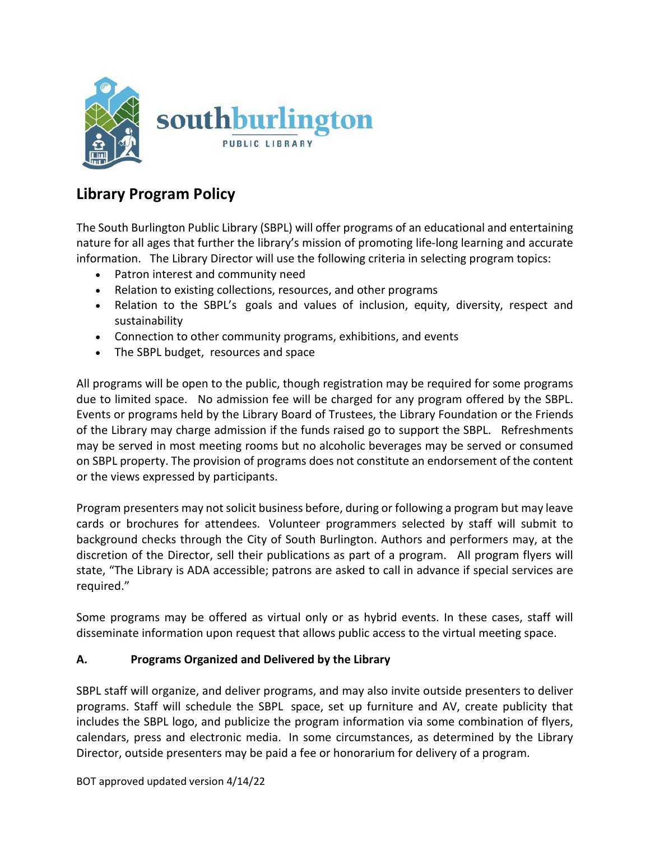

## **Library Program Policy**

The South Burlington Public Library (SBPL) will offer programs of an educational and entertaining nature for all ages that further the library's mission of promoting life-long learning and accurate information. The Library Director will use the following criteria in selecting program topics:

- Patron interest and community need
- Relation to existing collections, resources, and other programs
- Relation to the SBPL's goals and values of inclusion, equity, diversity, respect and sustainability
- Connection to other community programs, exhibitions, and events
- The SBPL budget, resources and space

All programs will be open to the public, though registration may be required for some programs due to limited space. No admission fee will be charged for any program offered by the SBPL. Events or programs held by the Library Board of Trustees, the Library Foundation or the Friends of the Library may charge admission if the funds raised go to support the SBPL. Refreshments may be served in most meeting rooms but no alcoholic beverages may be served or consumed on SBPL property. The provision of programs does not constitute an endorsement of the content or the views expressed by participants.

Program presenters may not solicit business before, during or following a program but may leave cards or brochures for attendees. Volunteer programmers selected by staff will submit to background checks through the City of South Burlington. Authors and performers may, at the discretion of the Director, sell their publications as part of a program. All program flyers will state, "The Library is ADA accessible; patrons are asked to call in advance if special services are required."

Some programs may be offered as virtual only or as hybrid events. In these cases, staff will disseminate information upon request that allows public access to the virtual meeting space.

## **A. Programs Organized and Delivered by the Library**

SBPL staff will organize, and deliver programs, and may also invite outside presenters to deliver programs. Staff will schedule the SBPL space, set up furniture and AV, create publicity that includes the SBPL logo, and publicize the program information via some combination of flyers, calendars, press and electronic media. In some circumstances, as determined by the Library Director, outside presenters may be paid a fee or honorarium for delivery of a program.